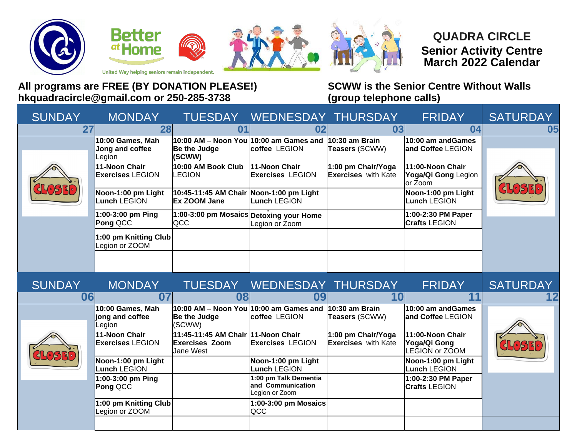







## **QUADRA CIRCLE Senior Activity Centre March 2022 Calendar**

United Way helping seniors remain independent.

## **All programs are FREE (BY DONATION PLEASE!) SCWW is the Senior Centre Without Walls hkquadracircle@gmail.com or 250-285-3738 (group telephone calls)**

| <b>SUNDAY</b> | <b>MONDAY</b>                                   |                                                                          | TUESDAY WEDNESDAY THURSDAY                                                      |                                                  | <b>FRIDAY</b>                                             | <b>SATURDAY</b> |
|---------------|-------------------------------------------------|--------------------------------------------------------------------------|---------------------------------------------------------------------------------|--------------------------------------------------|-----------------------------------------------------------|-----------------|
| 27            | 28                                              | 01                                                                       | 02                                                                              | 03                                               | 04                                                        | 05              |
|               | 10:00 Games, Mah<br>Jong and coffee<br>Legion   | Be the Judge<br>(SCWW)                                                   | $ 10:00$ AM – Noon You $ 10:00$ am Games and $ 10:30$ am Brain<br>coffee LEGION | Teasers (SCWW)                                   | 10:00 am andGames<br>and Coffee LEGION                    |                 |
|               | <b>11-Noon Chair</b><br><b>Exercises LEGION</b> | 10:00 AM Book Club<br><b>LEGION</b>                                      | 11-Noon Chair<br><b>Exercises LEGION</b>                                        | 1:00 pm Chair/Yoga<br><b>Exercises</b> with Kate | 11:00-Noon Chair<br>Yoga/Qi Gong Legion<br>or Zoom        |                 |
|               | Noon-1:00 pm Light<br><b>Lunch LEGION</b>       | 10:45-11:45 AM Chair Noon-1:00 pm Light<br>Ex ZOOM Jane                  | Lunch LEGION                                                                    |                                                  | Noon-1:00 pm Light<br>Lunch LEGION                        |                 |
|               | $1:00-3:00$ pm Ping<br>Pong QCC                 | 1:00-3:00 pm Mosaics Detoxing your Home<br><b>QCC</b>                    | Legion or Zoom                                                                  |                                                  | 1:00-2:30 PM Paper<br><b>Crafts LEGION</b>                |                 |
|               | 1:00 pm Knitting Club<br>Legion or ZOOM         |                                                                          |                                                                                 |                                                  |                                                           |                 |
|               |                                                 |                                                                          |                                                                                 |                                                  |                                                           |                 |
|               |                                                 |                                                                          |                                                                                 |                                                  |                                                           |                 |
| <b>SUNDAY</b> | <b>MONDAY</b>                                   |                                                                          | TUESDAY WEDNESDAY THURSDAY                                                      |                                                  | <b>FRIDAY</b>                                             | <b>SATURDAY</b> |
| 06            | 07                                              | 08                                                                       | 09                                                                              | 10 <sub>l</sub>                                  | 11                                                        |                 |
|               | 10:00 Games, Mah<br>jong and coffee<br>egion    | $10:00$ AM – Noon You $ 10:00$ am Games and<br>Be the Judge<br>(SCWW)    | coffee LEGION                                                                   | $10:30$ am Brain<br>Teasers (SCWW)               | $\vert$ 10:00 am andGames<br>and Coffee LEGION            |                 |
|               | 11-Noon Chair<br><b>Exercises LEGION</b>        | 11:45-11:45 AM Chair 11-Noon Chair<br><b>Exercises Zoom</b><br>Jane West | <b>Exercises LEGION</b>                                                         | 1:00 pm Chair/Yoga<br><b>Exercises</b> with Kate | 11:00-Noon Chair<br>Yoga/Qi Gong<br><b>LEGION or ZOOM</b> |                 |
|               | Noon-1:00 pm Light<br>unch LEGION               |                                                                          | Noon-1:00 pm Light<br><b>Lunch LEGION</b>                                       |                                                  | Noon-1:00 pm Light<br><b>Lunch LEGION</b>                 |                 |
|               | 1:00-3:00 pm Ping<br>Pong QCC                   |                                                                          | 1:00 pm Talk Dementia<br>and Communication<br>Legion or Zoom                    |                                                  | 1:00-2:30 PM Paper<br><b>Crafts LEGION</b>                |                 |
|               | 1:00 pm Knitting Club<br>Legion or ZOOM         |                                                                          | $ 1:00$ -3:00 pm Mosaics $ $<br><b>QCC</b>                                      |                                                  |                                                           |                 |